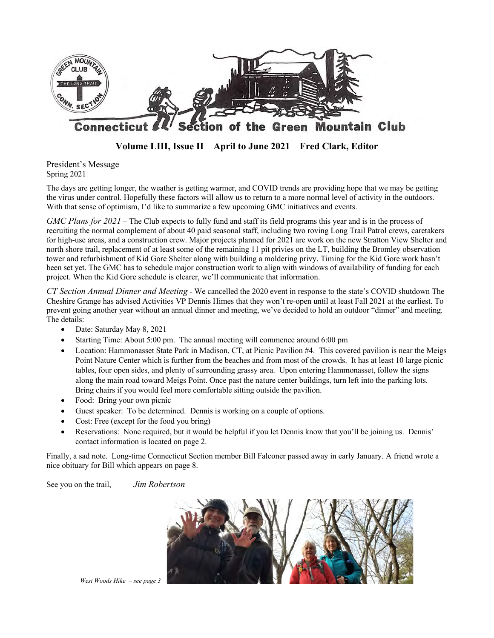

**Volume LIII, Issue II April to June 2021 Fred Clark, Editor**

President's Message Spring 2021

The days are getting longer, the weather is getting warmer, and COVID trends are providing hope that we may be getting the virus under control. Hopefully these factors will allow us to return to a more normal level of activity in the outdoors. With that sense of optimism, I'd like to summarize a few upcoming GMC initiatives and events.

*GMC Plans for 2021 –* The Club expects to fully fund and staff its field programs this year and is in the process of recruiting the normal complement of about 40 paid seasonal staff, including two roving Long Trail Patrol crews, caretakers for high-use areas, and a construction crew. Major projects planned for 2021 are work on the new Stratton View Shelter and north shore trail, replacement of at least some of the remaining 11 pit privies on the LT, building the Bromley observation tower and refurbishment of Kid Gore Shelter along with building a moldering privy. Timing for the Kid Gore work hasn't been set yet. The GMC has to schedule major construction work to align with windows of availability of funding for each project. When the Kid Gore schedule is clearer, we'll communicate that information.

*CT Section Annual Dinner and Meeting -* We cancelled the 2020 event in response to the state's COVID shutdown The Cheshire Grange has advised Activities VP Dennis Himes that they won't re-open until at least Fall 2021 at the earliest. To prevent going another year without an annual dinner and meeting, we've decided to hold an outdoor "dinner" and meeting. The details:

- Date: Saturday May 8, 2021
- Starting Time: About 5:00 pm. The annual meeting will commence around 6:00 pm
- Location: Hammonasset State Park in Madison, CT, at Picnic Pavilion #4. This covered pavilion is near the Meigs Point Nature Center which is further from the beaches and from most of the crowds. It has at least 10 large picnic tables, four open sides, and plenty of surrounding grassy area. Upon entering Hammonasset, follow the signs along the main road toward Meigs Point. Once past the nature center buildings, turn left into the parking lots. Bring chairs if you would feel more comfortable sitting outside the pavilion.
- Food: Bring your own picnic
- Guest speaker: To be determined. Dennis is working on a couple of options.
- Cost: Free (except for the food you bring)
- Reservations: None required, but it would be helpful if you let Dennis know that you'll be joining us. Dennis' contact information is located on page 2.

Finally, a sad note. Long-time Connecticut Section member Bill Falconer passed away in early January. A friend wrote a nice obituary for Bill which appears on page 8.

See you on the trail, *Jim Robertson*



*West Woods Hike – see page 3*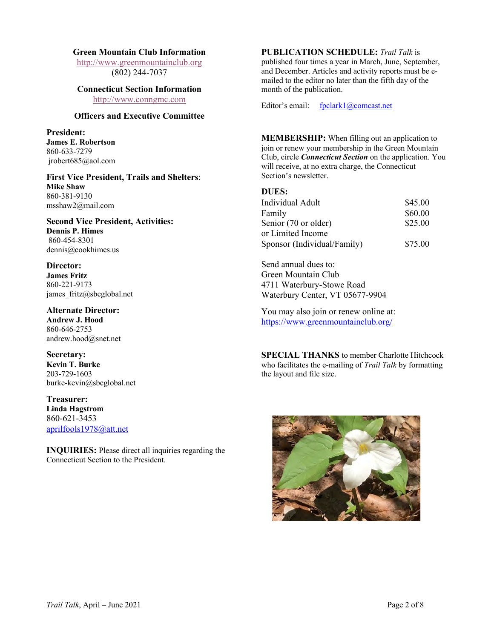#### **Green Mountain Club Information**

http://www.greenmountainclub.org (802) 244-7037

# **Connecticut Section Information** month of the publication.

## **Officers and Executive Committee**

**President: James E. Robertson** 860-633-7279 jrobert685@aol.com

First Vice President, Trails and Shelters: Section's newsletter. **Mike Shaw** 860-381-9130 msshaw2@mail.com

#### **Second Vice President, Activities: Dennis P. Himes** 860-454-8301 dennis@cookhimes.us

**Director: James Fritz** 860-221-9173 james fritz@sbcglobal.net

**Alternate Director: Andrew J. Hood** 860-646-2753 andrew.hood@snet.net

**Secretary: Kevin T. Burke** 203-729-1603 burke-kevin@sbcglobal.net

**Treasurer: Linda Hagstrom** 860-621-3453 aprilfools1978@att.net

**INQUIRIES:** Please direct all inquiries regarding the Connecticut Section to the President.

## **PUBLICATION SCHEDULE:** *Trail Talk* is

published four times a year in March, June, September, and December. Articles and activity reports must be emailed to the editor no later than the fifth day of the

http://www.conngmc.com Editor's email: fpclark1@comcast.net

**MEMBERSHIP:** When filling out an application to join or renew your membership in the Green Mountain Club, circle *Connecticut Section* on the application. You will receive, at no extra charge, the Connecticut

#### **DUES:**

| Individual Adult            | \$45.00 |
|-----------------------------|---------|
| Family                      | \$60.00 |
| Senior (70 or older)        | \$25.00 |
| or Limited Income           |         |
| Sponsor (Individual/Family) | \$75.00 |

Send annual dues to: Green Mountain Club 4711 Waterbury-Stowe Road Waterbury Center, VT 05677-9904

You may also join or renew online at: https://www.greenmountainclub.org/

**SPECIAL THANKS** to member Charlotte Hitchcock who facilitates the e-mailing of *Trail Talk* by formatting the layout and file size.

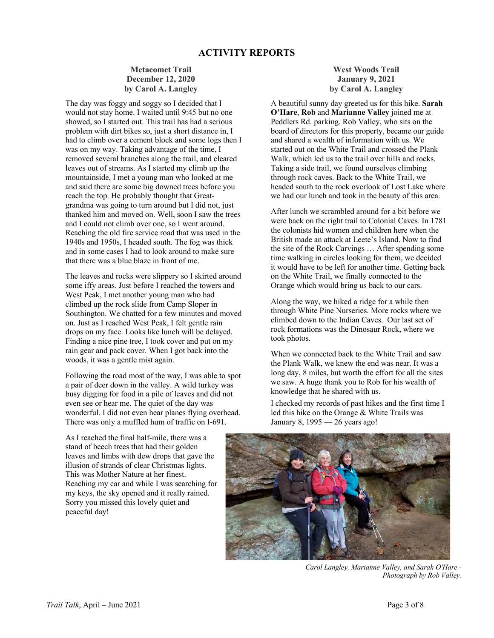## **Metacomet Trail December 12, 2020 by Carol A. Langley**

The day was foggy and soggy so I decided that I would not stay home. I waited until 9:45 but no one showed, so I started out. This trail has had a serious problem with dirt bikes so, just a short distance in, I had to climb over a cement block and some logs then I was on my way. Taking advantage of the time, I removed several branches along the trail, and cleared leaves out of streams. As I started my climb up the mountainside, I met a young man who looked at me and said there are some big downed trees before you reach the top. He probably thought that Greatgrandma was going to turn around but I did not, just thanked him and moved on. Well, soon I saw the trees and I could not climb over one, so I went around. Reaching the old fire service road that was used in the 1940s and 1950s, I headed south. The fog was thick and in some cases I had to look around to make sure that there was a blue blaze in front of me.

The leaves and rocks were slippery so I skirted around some iffy areas. Just before I reached the towers and West Peak, I met another young man who had climbed up the rock slide from Camp Sloper in Southington. We chatted for a few minutes and moved on. Just as I reached West Peak, I felt gentle rain drops on my face. Looks like lunch will be delayed. Finding a nice pine tree, I took cover and put on my rain gear and pack cover. When I got back into the woods, it was a gentle mist again.

Following the road most of the way, I was able to spot a pair of deer down in the valley. A wild turkey was busy digging for food in a pile of leaves and did not even see or hear me. The quiet of the day was wonderful. I did not even hear planes flying overhead. There was only a muffled hum of traffic on I-691.

**West Woods Trail January 9, 2021 by Carol A. Langley**

A beautiful sunny day greeted us for this hike. **Sarah O'Hare**, **Rob** and **Marianne Valley** joined me at Peddlers Rd. parking. Rob Valley, who sits on the board of directors for this property, became our guide and shared a wealth of information with us. We started out on the White Trail and crossed the Plank Walk, which led us to the trail over hills and rocks. Taking a side trail, we found ourselves climbing through rock caves. Back to the White Trail, we headed south to the rock overlook of Lost Lake where we had our lunch and took in the beauty of this area.

After lunch we scrambled around for a bit before we were back on the right trail to Colonial Caves. In 1781 the colonists hid women and children here when the British made an attack at Leete's Island. Now to find the site of the Rock Carvings … After spending some time walking in circles looking for them, we decided it would have to be left for another time. Getting back on the White Trail, we finally connected to the Orange which would bring us back to our cars.

Along the way, we hiked a ridge for a while then through White Pine Nurseries. More rocks where we climbed down to the Indian Caves. Our last set of rock formations was the Dinosaur Rock, where we took photos.

When we connected back to the White Trail and saw the Plank Walk, we knew the end was near. It was a long day, 8 miles, but worth the effort for all the sites we saw. A huge thank you to Rob for his wealth of knowledge that he shared with us.

I checked my records of past hikes and the first time I led this hike on the Orange & White Trails was January 8, 1995 — 26 years ago!

As I reached the final half-mile, there was a stand of beech trees that had their golden leaves and limbs with dew drops that gave the illusion of strands of clear Christmas lights. This was Mother Nature at her finest. Reaching my car and while I was searching for my keys, the sky opened and it really rained. Sorry you missed this lovely quiet and peaceful day!



*Carol Langley, Marianne Valley, and Sarah O'Hare - Photograph by Rob Valley.*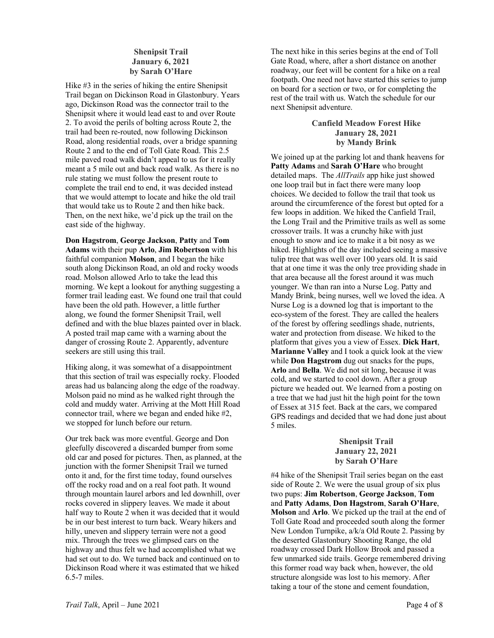## **Shenipsit Trail January 6, 2021 by Sarah O'Hare**

Hike #3 in the series of hiking the entire Shenipsit Trail began on Dickinson Road in Glastonbury. Years ago, Dickinson Road was the connector trail to the Shenipsit where it would lead east to and over Route 2. To avoid the perils of bolting across Route 2, the trail had been re-routed, now following Dickinson Road, along residential roads, over a bridge spanning Route 2 and to the end of Toll Gate Road. This 2.5 mile paved road walk didn't appeal to us for it really meant a 5 mile out and back road walk. As there is no rule stating we must follow the present route to complete the trail end to end, it was decided instead that we would attempt to locate and hike the old trail that would take us to Route 2 and then hike back. Then, on the next hike, we'd pick up the trail on the east side of the highway.

**Don Hagstrom**, **George Jackson**, **Patty** and **Tom Adams** with their pup **Arlo**, **Jim Robertson** with his faithful companion **Molson**, and I began the hike south along Dickinson Road, an old and rocky woods road. Molson allowed Arlo to take the lead this morning. We kept a lookout for anything suggesting a former trail leading east. We found one trail that could have been the old path. However, a little further along, we found the former Shenipsit Trail, well defined and with the blue blazes painted over in black. A posted trail map came with a warning about the danger of crossing Route 2. Apparently, adventure seekers are still using this trail.

Hiking along, it was somewhat of a disappointment that this section of trail was especially rocky. Flooded areas had us balancing along the edge of the roadway. Molson paid no mind as he walked right through the cold and muddy water. Arriving at the Mott Hill Road connector trail, where we began and ended hike #2, we stopped for lunch before our return.

Our trek back was more eventful. George and Don gleefully discovered a discarded bumper from some old car and posed for pictures. Then, as planned, at the junction with the former Shenipsit Trail we turned onto it and, for the first time today, found ourselves off the rocky road and on a real foot path. It wound through mountain laurel arbors and led downhill, over rocks covered in slippery leaves. We made it about half way to Route 2 when it was decided that it would be in our best interest to turn back. Weary hikers and hilly, uneven and slippery terrain were not a good mix. Through the trees we glimpsed cars on the highway and thus felt we had accomplished what we had set out to do. We turned back and continued on to Dickinson Road where it was estimated that we hiked 6.5-7 miles.

The next hike in this series begins at the end of Toll Gate Road, where, after a short distance on another roadway, our feet will be content for a hike on a real footpath. One need not have started this series to jump on board for a section or two, or for completing the rest of the trail with us. Watch the schedule for our next Shenipsit adventure.

## **Canfield Meadow Forest Hike January 28, 2021 by Mandy Brink**

We joined up at the parking lot and thank heavens for **Patty Adams** and **Sarah O'Hare** who brought detailed maps. The *AllTrails* app hike just showed one loop trail but in fact there were many loop choices. We decided to follow the trail that took us around the circumference of the forest but opted for a few loops in addition. We hiked the Canfield Trail, the Long Trail and the Primitive trails as well as some crossover trails. It was a crunchy hike with just enough to snow and ice to make it a bit nosy as we hiked. Highlights of the day included seeing a massive tulip tree that was well over 100 years old. It is said that at one time it was the only tree providing shade in that area because all the forest around it was much younger. We than ran into a Nurse Log. Patty and Mandy Brink, being nurses, well we loved the idea. A Nurse Log is a downed log that is important to the eco-system of the forest. They are called the healers of the forest by offering seedlings shade, nutrients, water and protection from disease. We hiked to the platform that gives you a view of Essex. **Dick Hart**, **Marianne Valley** and I took a quick look at the view while **Don Hagstrom** dug out snacks for the pups, **Arlo** and **Bella**. We did not sit long, because it was cold, and we started to cool down. After a group picture we headed out. We learned from a posting on a tree that we had just hit the high point for the town of Essex at 315 feet. Back at the cars, we compared GPS readings and decided that we had done just about 5 miles.

## **Shenipsit Trail January 22, 2021 by Sarah O'Hare**

#4 hike of the Shenipsit Trail series began on the east side of Route 2. We were the usual group of six plus two pups: **Jim Robertson**, **George Jackson**, **Tom** and **Patty Adams**, **Don Hagstrom**, **Sarah O'Hare**, **Molson** and **Arlo**. We picked up the trail at the end of Toll Gate Road and proceeded south along the former New London Turnpike, a/k/a Old Route 2. Passing by the deserted Glastonbury Shooting Range, the old roadway crossed Dark Hollow Brook and passed a few unmarked side trails. George remembered driving this former road way back when, however, the old structure alongside was lost to his memory. After taking a tour of the stone and cement foundation,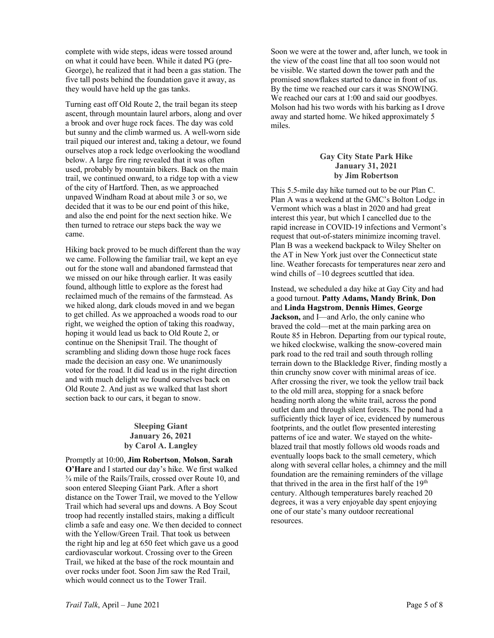complete with wide steps, ideas were tossed around on what it could have been. While it dated PG (pre-George), he realized that it had been a gas station. The five tall posts behind the foundation gave it away, as they would have held up the gas tanks.

Turning east off Old Route 2, the trail began its steep ascent, through mountain laurel arbors, along and over a brook and over huge rock faces. The day was cold but sunny and the climb warmed us. A well-worn side trail piqued our interest and, taking a detour, we found ourselves atop a rock ledge overlooking the woodland below. A large fire ring revealed that it was often used, probably by mountain bikers. Back on the main trail, we continued onward, to a ridge top with a view of the city of Hartford. Then, as we approached unpaved Windham Road at about mile 3 or so, we decided that it was to be our end point of this hike, and also the end point for the next section hike. We then turned to retrace our steps back the way we came.

Hiking back proved to be much different than the way we came. Following the familiar trail, we kept an eye out for the stone wall and abandoned farmstead that we missed on our hike through earlier. It was easily found, although little to explore as the forest had reclaimed much of the remains of the farmstead. As we hiked along, dark clouds moved in and we began to get chilled. As we approached a woods road to our right, we weighed the option of taking this roadway, hoping it would lead us back to Old Route 2, or continue on the Shenipsit Trail. The thought of scrambling and sliding down those huge rock faces made the decision an easy one. We unanimously voted for the road. It did lead us in the right direction and with much delight we found ourselves back on Old Route 2. And just as we walked that last short section back to our cars, it began to snow.

## **Sleeping Giant January 26, 2021 by Carol A. Langley**

Promptly at 10:00, **Jim Robertson**, **Molson**, **Sarah O'Hare** and I started our day's hike. We first walked ¾ mile of the Rails/Trails, crossed over Route 10, and soon entered Sleeping Giant Park. After a short distance on the Tower Trail, we moved to the Yellow Trail which had several ups and downs. A Boy Scout troop had recently installed stairs, making a difficult climb a safe and easy one. We then decided to connect with the Yellow/Green Trail. That took us between the right hip and leg at 650 feet which gave us a good cardiovascular workout. Crossing over to the Green Trail, we hiked at the base of the rock mountain and over rocks under foot. Soon Jim saw the Red Trail, which would connect us to the Tower Trail.

Soon we were at the tower and, after lunch, we took in the view of the coast line that all too soon would not be visible. We started down the tower path and the promised snowflakes started to dance in front of us. By the time we reached our cars it was SNOWING. We reached our cars at 1:00 and said our goodbyes. Molson had his two words with his barking as I drove away and started home. We hiked approximately 5 miles.

## **Gay City State Park Hike January 31, 2021 by Jim Robertson**

This 5.5-mile day hike turned out to be our Plan C. Plan A was a weekend at the GMC's Bolton Lodge in Vermont which was a blast in 2020 and had great interest this year, but which I cancelled due to the rapid increase in COVID-19 infections and Vermont's request that out-of-staters minimize incoming travel. Plan B was a weekend backpack to Wiley Shelter on the AT in New York just over the Connecticut state line. Weather forecasts for temperatures near zero and wind chills of –10 degrees scuttled that idea.

Instead, we scheduled a day hike at Gay City and had a good turnout. **Patty Adams, Mandy Brink**, **Don** and **Linda Hagstrom**, **Dennis Himes**, **George Jackson,** and I—and Arlo, the only canine who braved the cold—met at the main parking area on Route 85 in Hebron. Departing from our typical route, we hiked clockwise, walking the snow-covered main park road to the red trail and south through rolling terrain down to the Blackledge River, finding mostly a thin crunchy snow cover with minimal areas of ice. After crossing the river, we took the yellow trail back to the old mill area, stopping for a snack before heading north along the white trail, across the pond outlet dam and through silent forests. The pond had a sufficiently thick layer of ice, evidenced by numerous footprints, and the outlet flow presented interesting patterns of ice and water. We stayed on the whiteblazed trail that mostly follows old woods roads and eventually loops back to the small cemetery, which along with several cellar holes, a chimney and the mill foundation are the remaining reminders of the village that thrived in the area in the first half of the 19<sup>th</sup> century. Although temperatures barely reached 20 degrees, it was a very enjoyable day spent enjoying one of our state's many outdoor recreational resources.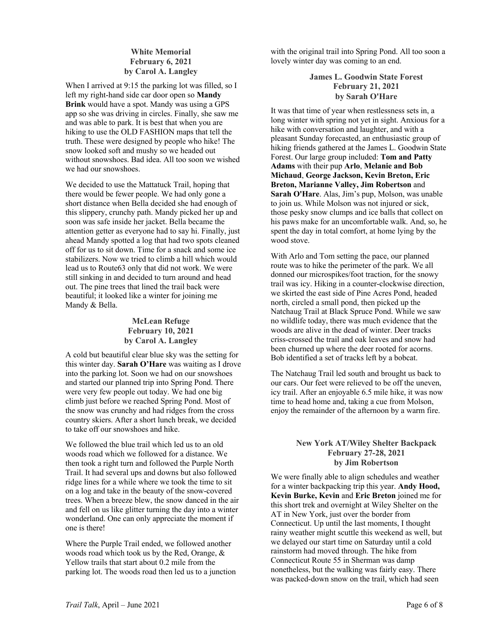## **White Memorial February 6, 2021 by Carol A. Langley**

When I arrived at 9:15 the parking lot was filled, so I left my right-hand side car door open so **Mandy Brink** would have a spot. Mandy was using a GPS app so she was driving in circles. Finally, she saw me and was able to park. It is best that when you are hiking to use the OLD FASHION maps that tell the truth. These were designed by people who hike! The snow looked soft and mushy so we headed out without snowshoes. Bad idea. All too soon we wished we had our snowshoes.

We decided to use the Mattatuck Trail, hoping that there would be fewer people. We had only gone a short distance when Bella decided she had enough of this slippery, crunchy path. Mandy picked her up and soon was safe inside her jacket. Bella became the attention getter as everyone had to say hi. Finally, just ahead Mandy spotted a log that had two spots cleaned off for us to sit down. Time for a snack and some ice stabilizers. Now we tried to climb a hill which would lead us to Route63 only that did not work. We were still sinking in and decided to turn around and head out. The pine trees that lined the trail back were beautiful; it looked like a winter for joining me Mandy & Bella.

## **McLean Refuge February 10, 2021 by Carol A. Langley**

A cold but beautiful clear blue sky was the setting for this winter day. **Sarah O'Hare** was waiting as I drove into the parking lot. Soon we had on our snowshoes and started our planned trip into Spring Pond. There were very few people out today. We had one big climb just before we reached Spring Pond. Most of the snow was crunchy and had ridges from the cross country skiers. After a short lunch break, we decided to take off our snowshoes and hike.

We followed the blue trail which led us to an old woods road which we followed for a distance. We then took a right turn and followed the Purple North Trail. It had several ups and downs but also followed ridge lines for a while where we took the time to sit on a log and take in the beauty of the snow-covered trees. When a breeze blew, the snow danced in the air and fell on us like glitter turning the day into a winter wonderland. One can only appreciate the moment if one is there!

Where the Purple Trail ended, we followed another woods road which took us by the Red, Orange, & Yellow trails that start about 0.2 mile from the parking lot. The woods road then led us to a junction with the original trail into Spring Pond. All too soon a lovely winter day was coming to an end.

## **James L. Goodwin State Forest February 21, 2021 by Sarah O'Hare**

It was that time of year when restlessness sets in, a long winter with spring not yet in sight. Anxious for a hike with conversation and laughter, and with a pleasant Sunday forecasted, an enthusiastic group of hiking friends gathered at the James L. Goodwin State Forest. Our large group included: **Tom and Patty Adams** with their pup **Arlo**, **Melanie and Bob Michaud**, **George Jackson, Kevin Breton, Eric Breton, Marianne Valley, Jim Robertson** and **Sarah O'Hare**. Alas, Jim's pup, Molson, was unable to join us. While Molson was not injured or sick, those pesky snow clumps and ice balls that collect on his paws make for an uncomfortable walk. And, so, he spent the day in total comfort, at home lying by the wood stove.

With Arlo and Tom setting the pace, our planned route was to hike the perimeter of the park. We all donned our microspikes/foot traction, for the snowy trail was icy. Hiking in a counter-clockwise direction, we skirted the east side of Pine Acres Pond, headed north, circled a small pond, then picked up the Natchaug Trail at Black Spruce Pond. While we saw no wildlife today, there was much evidence that the woods are alive in the dead of winter. Deer tracks criss-crossed the trail and oak leaves and snow had been churned up where the deer rooted for acorns. Bob identified a set of tracks left by a bobcat.

The Natchaug Trail led south and brought us back to our cars. Our feet were relieved to be off the uneven, icy trail. After an enjoyable 6.5 mile hike, it was now time to head home and, taking a cue from Molson, enjoy the remainder of the afternoon by a warm fire.

## **New York AT/Wiley Shelter Backpack February 27-28, 2021 by Jim Robertson**

We were finally able to align schedules and weather for a winter backpacking trip this year. **Andy Hood, Kevin Burke, Kevin** and **Eric Breton** joined me for this short trek and overnight at Wiley Shelter on the AT in New York, just over the border from Connecticut. Up until the last moments, I thought rainy weather might scuttle this weekend as well, but we delayed our start time on Saturday until a cold rainstorm had moved through. The hike from Connecticut Route 55 in Sherman was damp nonetheless, but the walking was fairly easy. There was packed-down snow on the trail, which had seen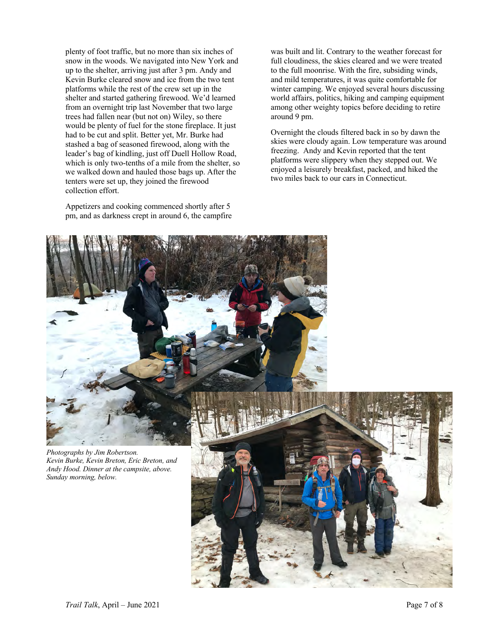plenty of foot traffic, but no more than six inches of snow in the woods. We navigated into New York and up to the shelter, arriving just after 3 pm. Andy and Kevin Burke cleared snow and ice from the two tent platforms while the rest of the crew set up in the shelter and started gathering firewood. We'd learned from an overnight trip last November that two large trees had fallen near (but not on) Wiley, so there would be plenty of fuel for the stone fireplace. It just had to be cut and split. Better yet, Mr. Burke had stashed a bag of seasoned firewood, along with the leader's bag of kindling, just off Duell Hollow Road, which is only two-tenths of a mile from the shelter, so we walked down and hauled those bags up. After the tenters were set up, they joined the firewood collection effort.

Appetizers and cooking commenced shortly after 5 pm, and as darkness crept in around 6, the campfire

was built and lit. Contrary to the weather forecast for full cloudiness, the skies cleared and we were treated to the full moonrise. With the fire, subsiding winds, and mild temperatures, it was quite comfortable for winter camping. We enjoyed several hours discussing world affairs, politics, hiking and camping equipment among other weighty topics before deciding to retire around 9 pm.

Overnight the clouds filtered back in so by dawn the skies were cloudy again. Low temperature was around freezing. Andy and Kevin reported that the tent platforms were slippery when they stepped out. We enjoyed a leisurely breakfast, packed, and hiked the two miles back to our cars in Connecticut.